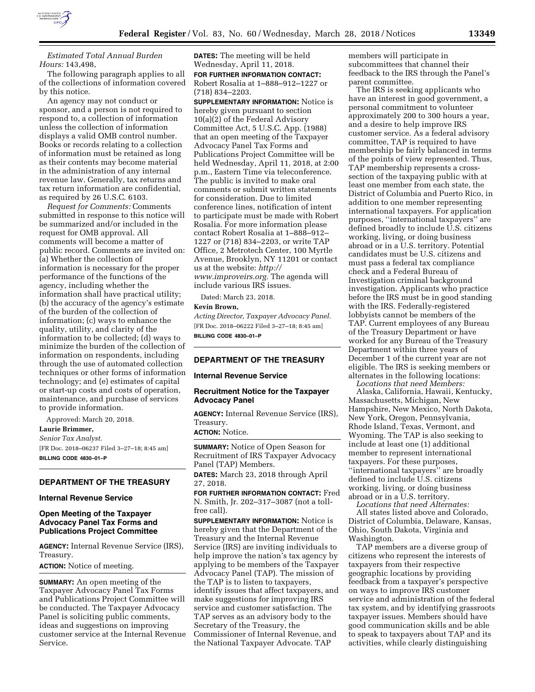

# *Estimated Total Annual Burden Hours:* 143,498,

The following paragraph applies to all of the collections of information covered by this notice.

An agency may not conduct or sponsor, and a person is not required to respond to, a collection of information unless the collection of information displays a valid OMB control number. Books or records relating to a collection of information must be retained as long as their contents may become material in the administration of any internal revenue law. Generally, tax returns and tax return information are confidential, as required by 26 U.S.C. 6103.

*Request for Comments:* Comments submitted in response to this notice will be summarized and/or included in the request for OMB approval. All comments will become a matter of public record. Comments are invited on: (a) Whether the collection of information is necessary for the proper performance of the functions of the agency, including whether the information shall have practical utility; (b) the accuracy of the agency's estimate of the burden of the collection of information; (c) ways to enhance the quality, utility, and clarity of the information to be collected; (d) ways to minimize the burden of the collection of information on respondents, including through the use of automated collection techniques or other forms of information technology; and (e) estimates of capital or start-up costs and costs of operation, maintenance, and purchase of services to provide information.

Approved: March 20, 2018. **Laurie Brimmer,**  *Senior Tax Analyst.*  [FR Doc. 2018–06237 Filed 3–27–18; 8:45 am] **BILLING CODE 4830–01–P** 

## **DEPARTMENT OF THE TREASURY**

## **Internal Revenue Service**

# **Open Meeting of the Taxpayer Advocacy Panel Tax Forms and Publications Project Committee**

**AGENCY:** Internal Revenue Service (IRS), Treasury.

**ACTION:** Notice of meeting.

**SUMMARY:** An open meeting of the Taxpayer Advocacy Panel Tax Forms and Publications Project Committee will be conducted. The Taxpayer Advocacy Panel is soliciting public comments, ideas and suggestions on improving customer service at the Internal Revenue Service.

**DATES:** The meeting will be held Wednesday, April 11, 2018. **FOR FURTHER INFORMATION CONTACT:**  Robert Rosalia at 1–888–912–1227 or

(718) 834–2203.

**SUPPLEMENTARY INFORMATION:** Notice is hereby given pursuant to section 10(a)(2) of the Federal Advisory Committee Act, 5 U.S.C. App. (1988) that an open meeting of the Taxpayer Advocacy Panel Tax Forms and Publications Project Committee will be held Wednesday, April 11, 2018, at 2:00 p.m., Eastern Time via teleconference. The public is invited to make oral comments or submit written statements for consideration. Due to limited conference lines, notification of intent to participate must be made with Robert Rosalia. For more information please contact Robert Rosalia at 1–888–912– 1227 or (718) 834–2203, or write TAP Office, 2 Metrotech Center, 100 Myrtle Avenue, Brooklyn, NY 11201 or contact us at the website: *[http://](http://www.improveirs.org) [www.improveirs.org.](http://www.improveirs.org)* The agenda will include various IRS issues.

Dated: March 23, 2018.

#### **Kevin Brown,**

*Acting Director, Taxpayer Advocacy Panel.*  [FR Doc. 2018–06222 Filed 3–27–18; 8:45 am] **BILLING CODE 4830–01–P** 

# **DEPARTMENT OF THE TREASURY**

## **Internal Revenue Service**

# **Recruitment Notice for the Taxpayer Advocacy Panel**

**AGENCY:** Internal Revenue Service (IRS), Treasury.

**ACTION:** Notice.

**SUMMARY:** Notice of Open Season for Recruitment of IRS Taxpayer Advocacy Panel (TAP) Members.

**DATES:** March 23, 2018 through April 27, 2018.

**FOR FURTHER INFORMATION CONTACT:** Fred N. Smith, Jr. 202–317–3087 (not a tollfree call).

**SUPPLEMENTARY INFORMATION:** Notice is hereby given that the Department of the Treasury and the Internal Revenue Service (IRS) are inviting individuals to help improve the nation's tax agency by applying to be members of the Taxpayer Advocacy Panel (TAP). The mission of the TAP is to listen to taxpayers, identify issues that affect taxpayers, and make suggestions for improving IRS service and customer satisfaction. The TAP serves as an advisory body to the Secretary of the Treasury, the Commissioner of Internal Revenue, and the National Taxpayer Advocate. TAP

members will participate in subcommittees that channel their feedback to the IRS through the Panel's parent committee.

The IRS is seeking applicants who have an interest in good government, a personal commitment to volunteer approximately 200 to 300 hours a year, and a desire to help improve IRS customer service. As a federal advisory committee, TAP is required to have membership be fairly balanced in terms of the points of view represented. Thus, TAP membership represents a crosssection of the taxpaying public with at least one member from each state, the District of Columbia and Puerto Rico, in addition to one member representing international taxpayers. For application purposes, ''international taxpayers'' are defined broadly to include U.S. citizens working, living, or doing business abroad or in a U.S. territory. Potential candidates must be U.S. citizens and must pass a federal tax compliance check and a Federal Bureau of Investigation criminal background investigation. Applicants who practice before the IRS must be in good standing with the IRS. Federally-registered lobbyists cannot be members of the TAP. Current employees of any Bureau of the Treasury Department or have worked for any Bureau of the Treasury Department within three years of December 1 of the current year are not eligible. The IRS is seeking members or alternates in the following locations: *Locations that need Members:* 

Alaska, California, Hawaii, Kentucky, Massachusetts, Michigan, New Hampshire, New Mexico, North Dakota, New York, Oregon, Pennsylvania, Rhode Island, Texas, Vermont, and Wyoming. The TAP is also seeking to include at least one (1) additional member to represent international taxpayers. For these purposes, ''international taxpayers'' are broadly defined to include U.S. citizens working, living, or doing business abroad or in a U.S. territory.

*Locations that need Alternates:*  All states listed above and Colorado, District of Columbia, Delaware, Kansas, Ohio, South Dakota, Virginia and Washington.

TAP members are a diverse group of citizens who represent the interests of taxpayers from their respective geographic locations by providing feedback from a taxpayer's perspective on ways to improve IRS customer service and administration of the federal tax system, and by identifying grassroots taxpayer issues. Members should have good communication skills and be able to speak to taxpayers about TAP and its activities, while clearly distinguishing